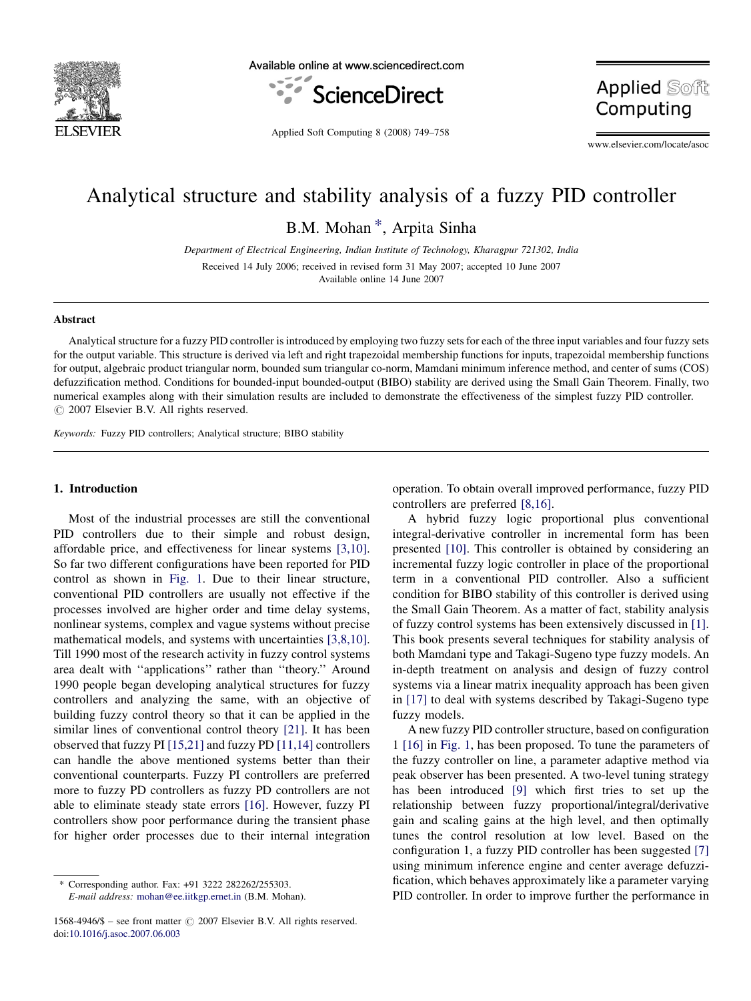

Available online at www.sciencedirect.com



**Applied Soft** Computing

Applied Soft Computing 8 (2008) 749–758

www.elsevier.com/locate/asoc

## Analytical structure and stability analysis of a fuzzy PID controller

B.M. Mohan \*, Arpita Sinha

Department of Electrical Engineering, Indian Institute of Technology, Kharagpur 721302, India Received 14 July 2006; received in revised form 31 May 2007; accepted 10 June 2007 Available online 14 June 2007

## Abstract

Analytical structure for a fuzzy PID controller is introduced by employing two fuzzy sets for each of the three input variables and four fuzzy sets for the output variable. This structure is derived via left and right trapezoidal membership functions for inputs, trapezoidal membership functions for output, algebraic product triangular norm, bounded sum triangular co-norm, Mamdani minimum inference method, and center of sums (COS) defuzzification method. Conditions for bounded-input bounded-output (BIBO) stability are derived using the Small Gain Theorem. Finally, two numerical examples along with their simulation results are included to demonstrate the effectiveness of the simplest fuzzy PID controller.  $\odot$  2007 Elsevier B.V. All rights reserved.

Keywords: Fuzzy PID controllers; Analytical structure; BIBO stability

## 1. Introduction

Most of the industrial processes are still the conventional PID controllers due to their simple and robust design, affordable price, and effectiveness for linear systems [\[3,10\]](#page--1-0). So far two different configurations have been reported for PID control as shown in [Fig. 1.](#page-1-0) Due to their linear structure, conventional PID controllers are usually not effective if the processes involved are higher order and time delay systems, nonlinear systems, complex and vague systems without precise mathematical models, and systems with uncertainties [\[3,8,10\]](#page--1-0). Till 1990 most of the research activity in fuzzy control systems area dealt with ''applications'' rather than ''theory.'' Around 1990 people began developing analytical structures for fuzzy controllers and analyzing the same, with an objective of building fuzzy control theory so that it can be applied in the similar lines of conventional control theory [\[21\].](#page--1-0) It has been observed that fuzzy PI [\[15,21\]](#page--1-0) and fuzzy PD [\[11,14\]](#page--1-0) controllers can handle the above mentioned systems better than their conventional counterparts. Fuzzy PI controllers are preferred more to fuzzy PD controllers as fuzzy PD controllers are not able to eliminate steady state errors [\[16\].](#page--1-0) However, fuzzy PI controllers show poor performance during the transient phase for higher order processes due to their internal integration

operation. To obtain overall improved performance, fuzzy PID controllers are preferred [\[8,16\]](#page--1-0).

A hybrid fuzzy logic proportional plus conventional integral-derivative controller in incremental form has been presented [\[10\]](#page--1-0). This controller is obtained by considering an incremental fuzzy logic controller in place of the proportional term in a conventional PID controller. Also a sufficient condition for BIBO stability of this controller is derived using the Small Gain Theorem. As a matter of fact, stability analysis of fuzzy control systems has been extensively discussed in [\[1\]](#page--1-0). This book presents several techniques for stability analysis of both Mamdani type and Takagi-Sugeno type fuzzy models. An in-depth treatment on analysis and design of fuzzy control systems via a linear matrix inequality approach has been given in [\[17\]](#page--1-0) to deal with systems described by Takagi-Sugeno type fuzzy models.

A new fuzzy PID controller structure, based on configuration 1 [\[16\]](#page--1-0) in [Fig. 1](#page-1-0), has been proposed. To tune the parameters of the fuzzy controller on line, a parameter adaptive method via peak observer has been presented. A two-level tuning strategy has been introduced [\[9\]](#page--1-0) which first tries to set up the relationship between fuzzy proportional/integral/derivative gain and scaling gains at the high level, and then optimally tunes the control resolution at low level. Based on the configuration 1, a fuzzy PID controller has been suggested [\[7\]](#page--1-0) using minimum inference engine and center average defuzzification, which behaves approximately like a parameter varying PID controller. In order to improve further the performance in

Corresponding author. Fax: +91 3222 282262/255303.

E-mail address: [mohan@ee.iitkgp.ernet.in](mailto:mohan@ee.iitkgp.ernet.in) (B.M. Mohan).

<sup>1568-4946/\$ –</sup> see front matter  $\odot$  2007 Elsevier B.V. All rights reserved. doi:[10.1016/j.asoc.2007.06.003](http://dx.doi.org/10.1016/j.asoc.2007.06.003)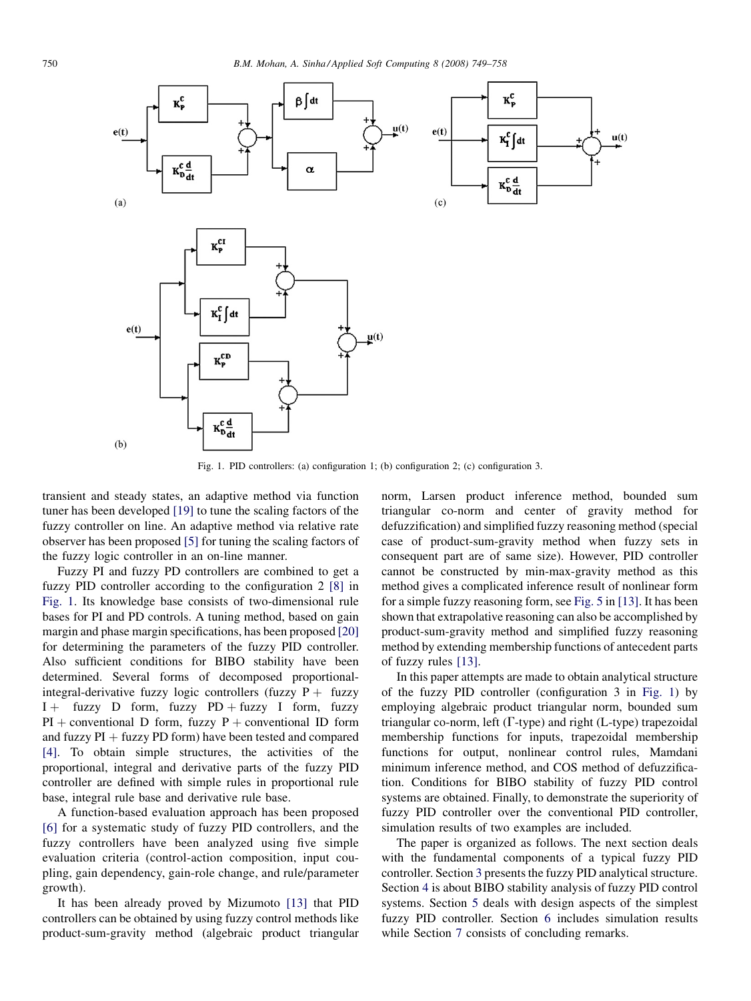<span id="page-1-0"></span>

Fig. 1. PID controllers: (a) configuration 1; (b) configuration 2; (c) configuration 3.

transient and steady states, an adaptive method via function tuner has been developed [\[19\]](#page--1-0) to tune the scaling factors of the fuzzy controller on line. An adaptive method via relative rate observer has been proposed [\[5\]](#page--1-0) for tuning the scaling factors of the fuzzy logic controller in an on-line manner.

Fuzzy PI and fuzzy PD controllers are combined to get a fuzzy PID controller according to the configuration 2 [\[8\]](#page--1-0) in Fig. 1. Its knowledge base consists of two-dimensional rule bases for PI and PD controls. A tuning method, based on gain margin and phase margin specifications, has been proposed [\[20\]](#page--1-0) for determining the parameters of the fuzzy PID controller. Also sufficient conditions for BIBO stability have been determined. Several forms of decomposed proportionalintegral-derivative fuzzy logic controllers (fuzzy  $P +$  fuzzy  $I +$  fuzzy D form, fuzzy PD + fuzzy I form, fuzzy  $PI$  + conventional D form, fuzzy P + conventional ID form and fuzzy  $PI + fuzzy PD$  form) have been tested and compared [\[4\]](#page--1-0). To obtain simple structures, the activities of the proportional, integral and derivative parts of the fuzzy PID controller are defined with simple rules in proportional rule base, integral rule base and derivative rule base.

A function-based evaluation approach has been proposed [\[6\]](#page--1-0) for a systematic study of fuzzy PID controllers, and the fuzzy controllers have been analyzed using five simple evaluation criteria (control-action composition, input coupling, gain dependency, gain-role change, and rule/parameter growth).

It has been already proved by Mizumoto [\[13\]](#page--1-0) that PID controllers can be obtained by using fuzzy control methods like product-sum-gravity method (algebraic product triangular norm, Larsen product inference method, bounded sum triangular co-norm and center of gravity method for defuzzification) and simplified fuzzy reasoning method (special case of product-sum-gravity method when fuzzy sets in consequent part are of same size). However, PID controller cannot be constructed by min-max-gravity method as this method gives a complicated inference result of nonlinear form for a simple fuzzy reasoning form, see [Fig. 5](#page--1-0) in [\[13\].](#page--1-0) It has been shown that extrapolative reasoning can also be accomplished by product-sum-gravity method and simplified fuzzy reasoning method by extending membership functions of antecedent parts of fuzzy rules [\[13\]](#page--1-0).

In this paper attempts are made to obtain analytical structure of the fuzzy PID controller (configuration 3 in Fig. 1) by employing algebraic product triangular norm, bounded sum triangular co-norm, left  $(\Gamma$ -type) and right  $(L$ -type) trapezoidal membership functions for inputs, trapezoidal membership functions for output, nonlinear control rules, Mamdani minimum inference method, and COS method of defuzzification. Conditions for BIBO stability of fuzzy PID control systems are obtained. Finally, to demonstrate the superiority of fuzzy PID controller over the conventional PID controller, simulation results of two examples are included.

The paper is organized as follows. The next section deals with the fundamental components of a typical fuzzy PID controller. Section [3](#page--1-0) presents the fuzzy PID analytical structure. Section [4](#page--1-0) is about BIBO stability analysis of fuzzy PID control systems. Section [5](#page--1-0) deals with design aspects of the simplest fuzzy PID controller. Section [6](#page--1-0) includes simulation results while Section [7](#page--1-0) consists of concluding remarks.